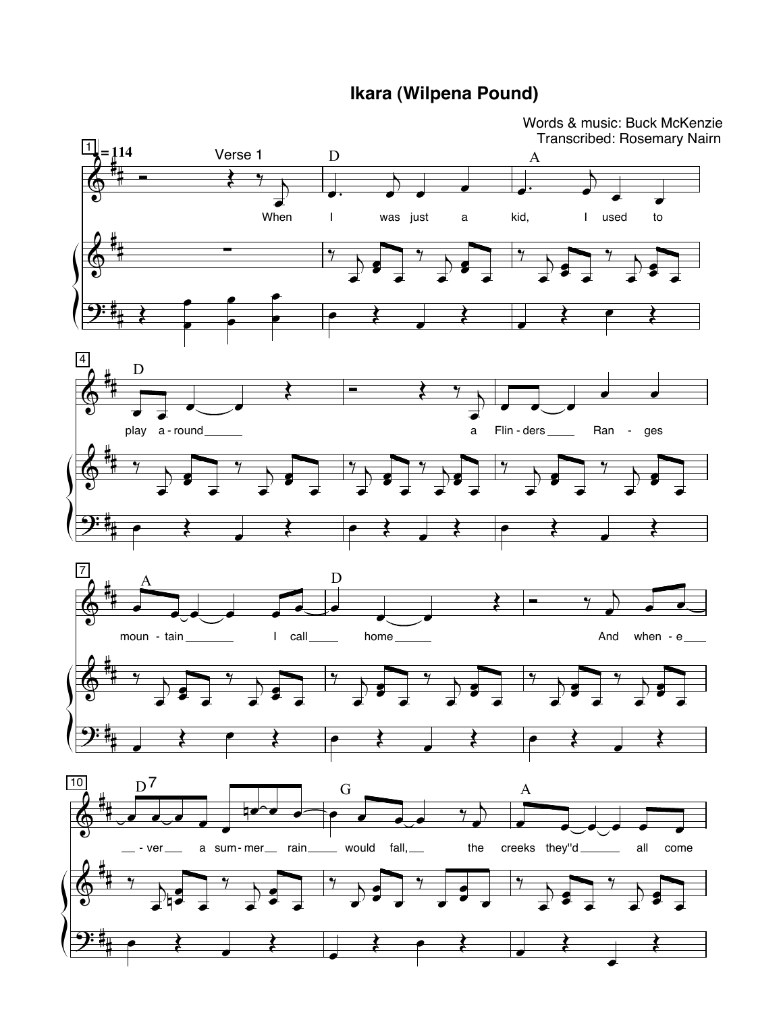**Ikara (Wilpena Pound)** 

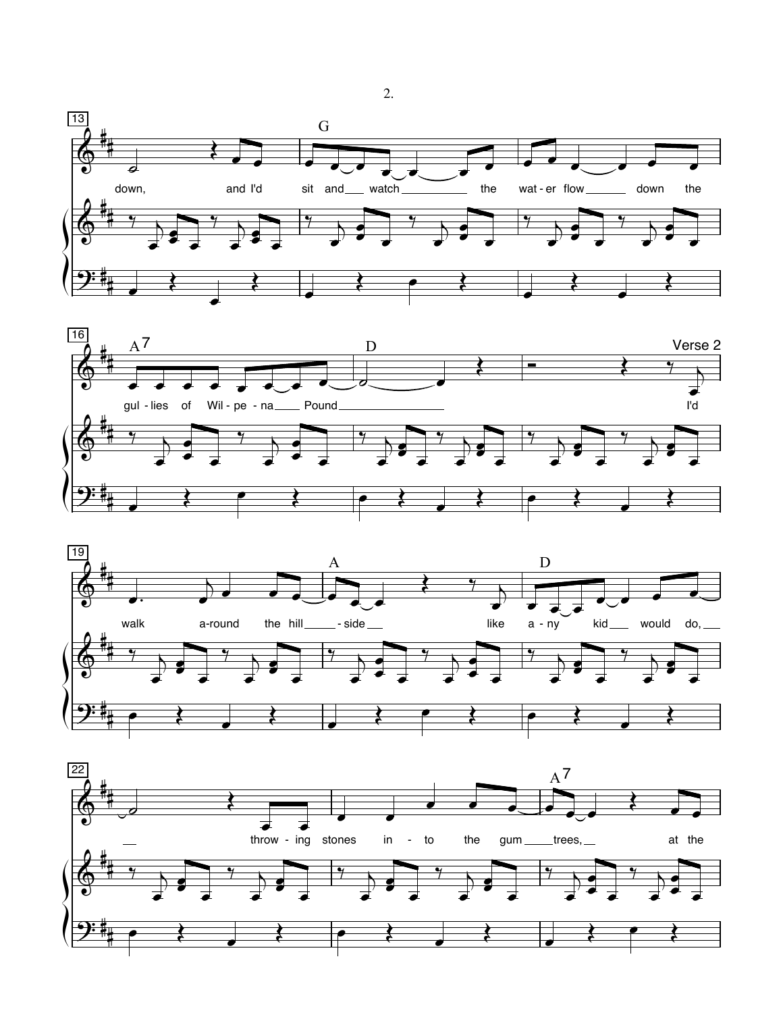





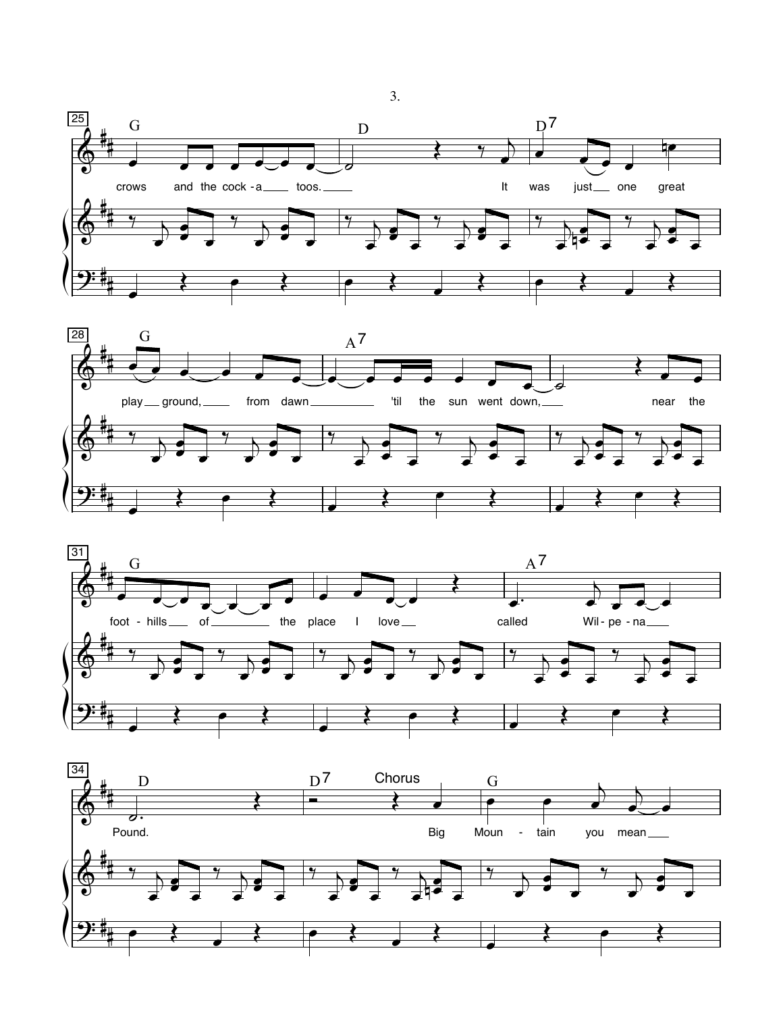





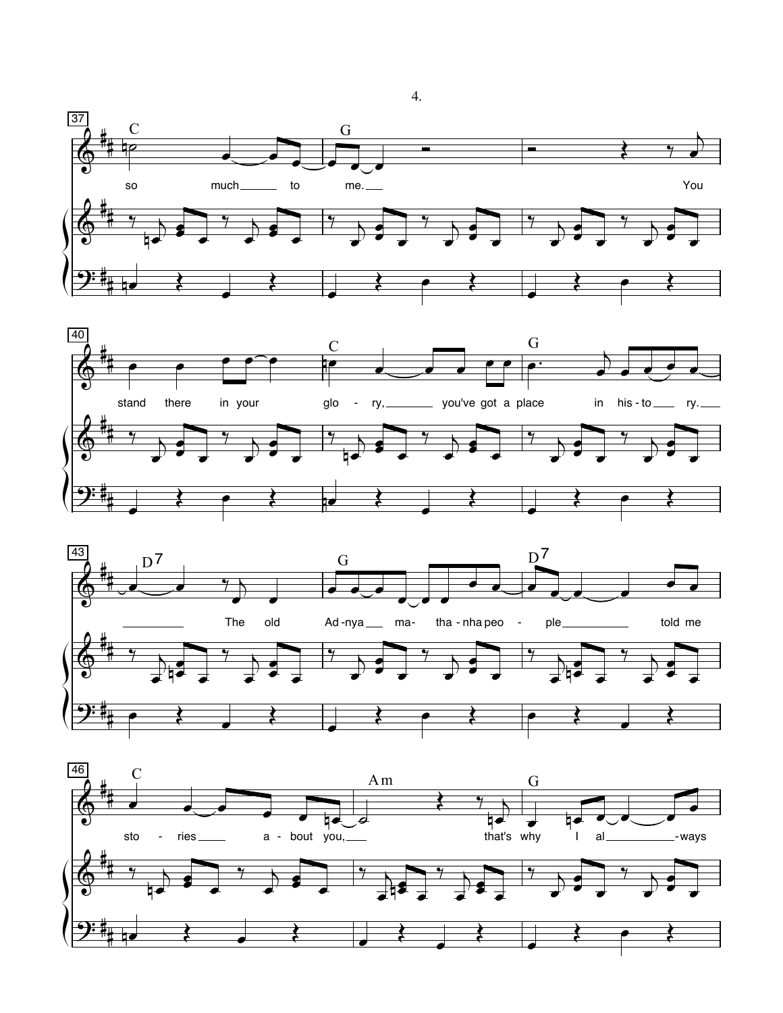





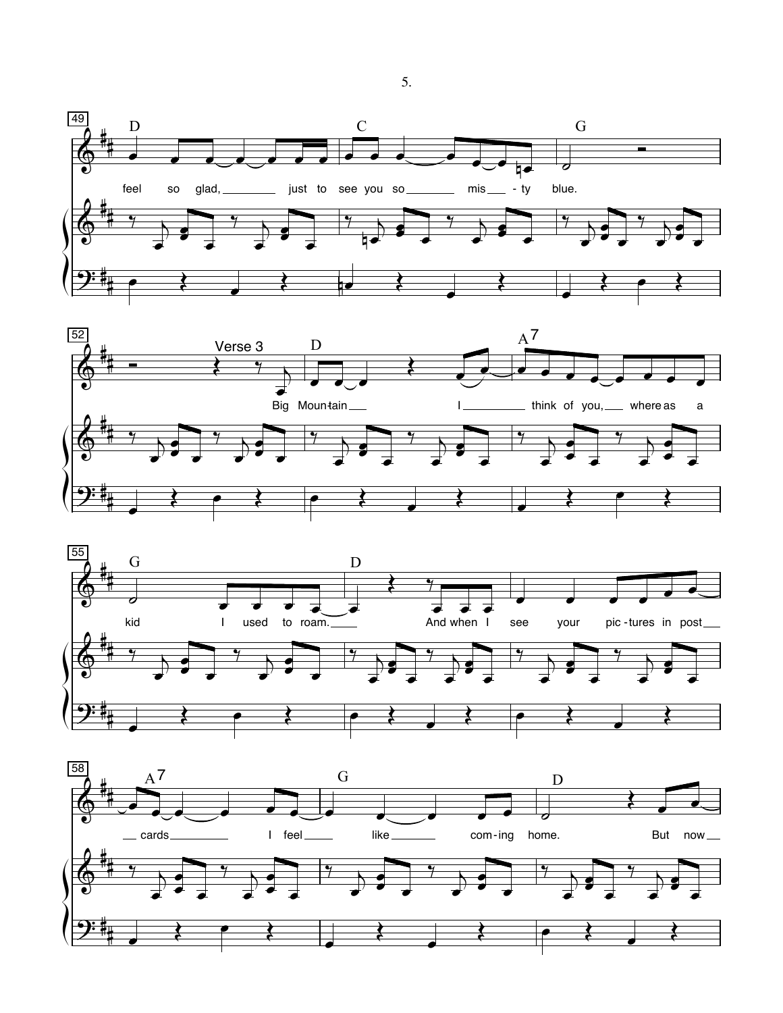





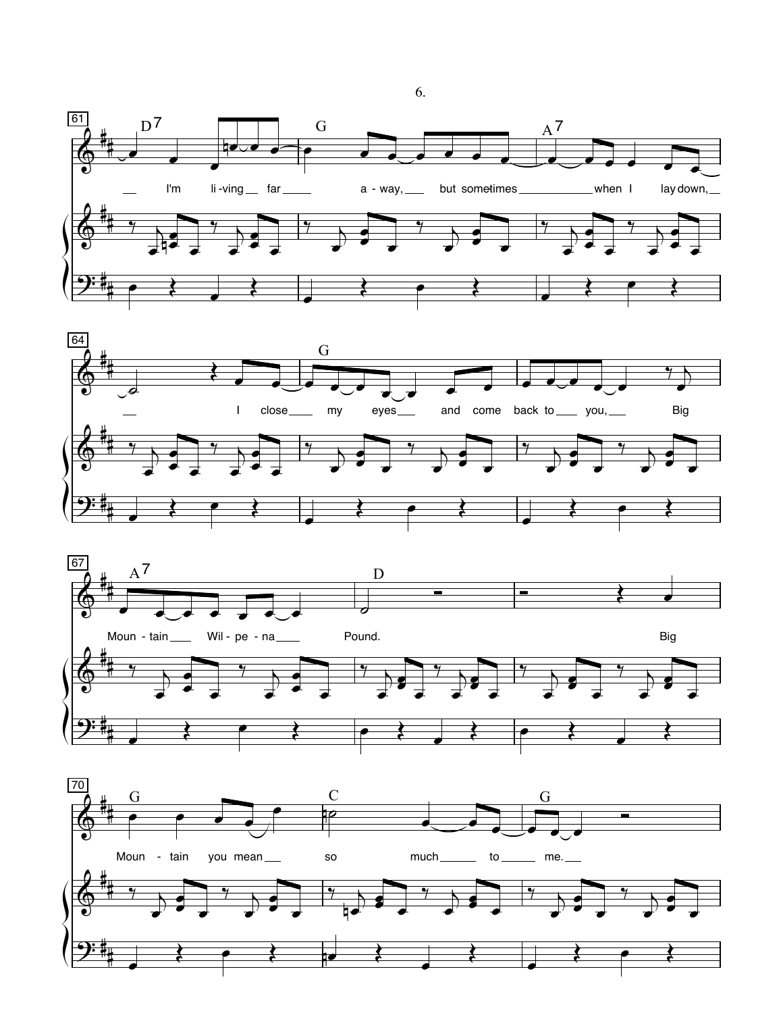





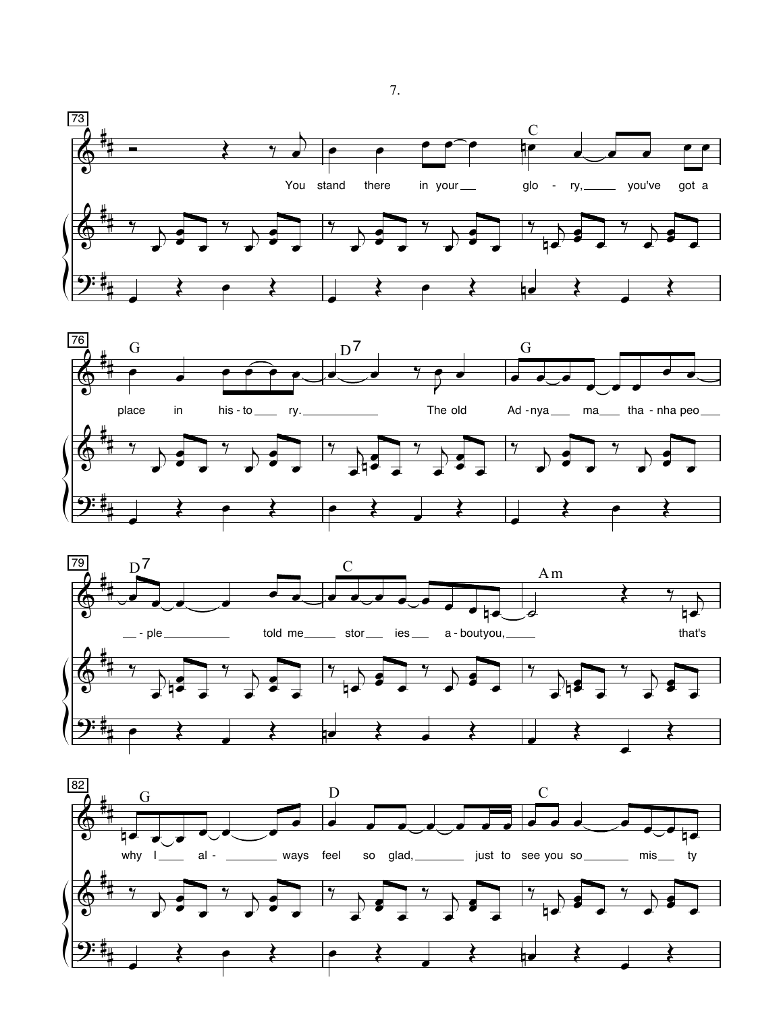